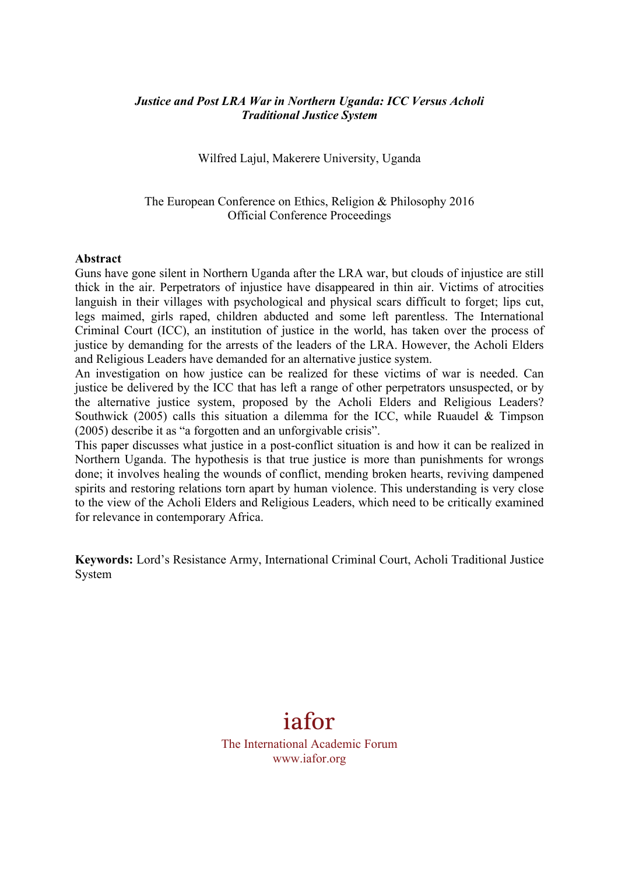## *Justice and Post LRA War in Northern Uganda: ICC Versus Acholi Traditional Justice System*

Wilfred Lajul, Makerere University, Uganda

## The European Conference on Ethics, Religion & Philosophy 2016 Official Conference Proceedings

#### **Abstract**

Guns have gone silent in Northern Uganda after the LRA war, but clouds of injustice are still thick in the air. Perpetrators of injustice have disappeared in thin air. Victims of atrocities languish in their villages with psychological and physical scars difficult to forget; lips cut, legs maimed, girls raped, children abducted and some left parentless. The International Criminal Court (ICC), an institution of justice in the world, has taken over the process of justice by demanding for the arrests of the leaders of the LRA. However, the Acholi Elders and Religious Leaders have demanded for an alternative justice system.

An investigation on how justice can be realized for these victims of war is needed. Can justice be delivered by the ICC that has left a range of other perpetrators unsuspected, or by the alternative justice system, proposed by the Acholi Elders and Religious Leaders? Southwick (2005) calls this situation a dilemma for the ICC, while Ruaudel & Timpson (2005) describe it as "a forgotten and an unforgivable crisis".

This paper discusses what justice in a post-conflict situation is and how it can be realized in Northern Uganda. The hypothesis is that true justice is more than punishments for wrongs done; it involves healing the wounds of conflict, mending broken hearts, reviving dampened spirits and restoring relations torn apart by human violence. This understanding is very close to the view of the Acholi Elders and Religious Leaders, which need to be critically examined for relevance in contemporary Africa.

**Keywords:** Lord's Resistance Army, International Criminal Court, Acholi Traditional Justice System

# iafor

The International Academic Forum www.iafor.org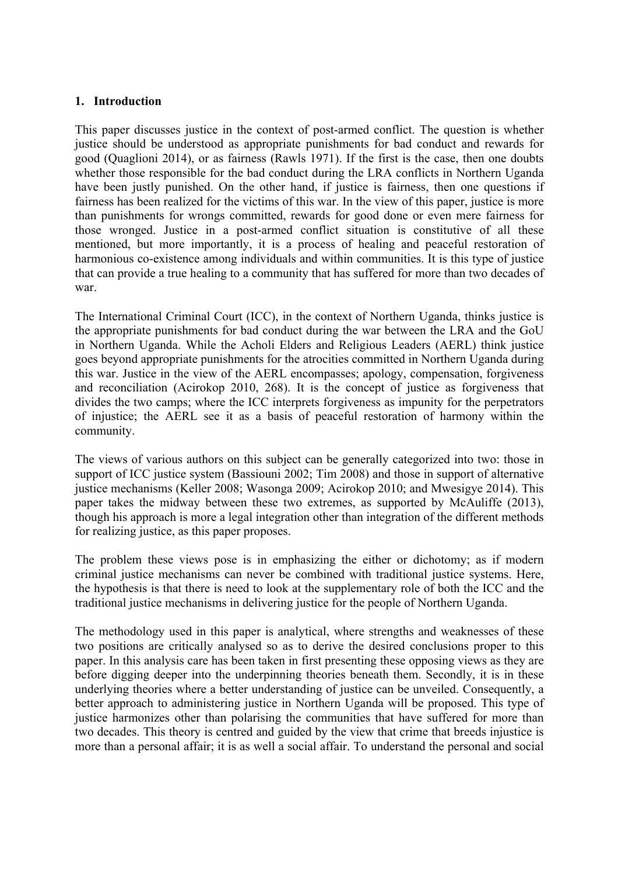## **1. Introduction**

This paper discusses justice in the context of post-armed conflict. The question is whether justice should be understood as appropriate punishments for bad conduct and rewards for good (Quaglioni 2014), or as fairness (Rawls 1971). If the first is the case, then one doubts whether those responsible for the bad conduct during the LRA conflicts in Northern Uganda have been justly punished. On the other hand, if justice is fairness, then one questions if fairness has been realized for the victims of this war. In the view of this paper, justice is more than punishments for wrongs committed, rewards for good done or even mere fairness for those wronged. Justice in a post-armed conflict situation is constitutive of all these mentioned, but more importantly, it is a process of healing and peaceful restoration of harmonious co-existence among individuals and within communities. It is this type of justice that can provide a true healing to a community that has suffered for more than two decades of war.

The International Criminal Court (ICC), in the context of Northern Uganda, thinks justice is the appropriate punishments for bad conduct during the war between the LRA and the GoU in Northern Uganda. While the Acholi Elders and Religious Leaders (AERL) think justice goes beyond appropriate punishments for the atrocities committed in Northern Uganda during this war. Justice in the view of the AERL encompasses; apology, compensation, forgiveness and reconciliation (Acirokop 2010, 268). It is the concept of justice as forgiveness that divides the two camps; where the ICC interprets forgiveness as impunity for the perpetrators of injustice; the AERL see it as a basis of peaceful restoration of harmony within the community.

The views of various authors on this subject can be generally categorized into two: those in support of ICC justice system (Bassiouni 2002; Tim 2008) and those in support of alternative justice mechanisms (Keller 2008; Wasonga 2009; Acirokop 2010; and Mwesigye 2014). This paper takes the midway between these two extremes, as supported by McAuliffe (2013), though his approach is more a legal integration other than integration of the different methods for realizing justice, as this paper proposes.

The problem these views pose is in emphasizing the either or dichotomy; as if modern criminal justice mechanisms can never be combined with traditional justice systems. Here, the hypothesis is that there is need to look at the supplementary role of both the ICC and the traditional justice mechanisms in delivering justice for the people of Northern Uganda.

The methodology used in this paper is analytical, where strengths and weaknesses of these two positions are critically analysed so as to derive the desired conclusions proper to this paper. In this analysis care has been taken in first presenting these opposing views as they are before digging deeper into the underpinning theories beneath them. Secondly, it is in these underlying theories where a better understanding of justice can be unveiled. Consequently, a better approach to administering justice in Northern Uganda will be proposed. This type of justice harmonizes other than polarising the communities that have suffered for more than two decades. This theory is centred and guided by the view that crime that breeds injustice is more than a personal affair; it is as well a social affair. To understand the personal and social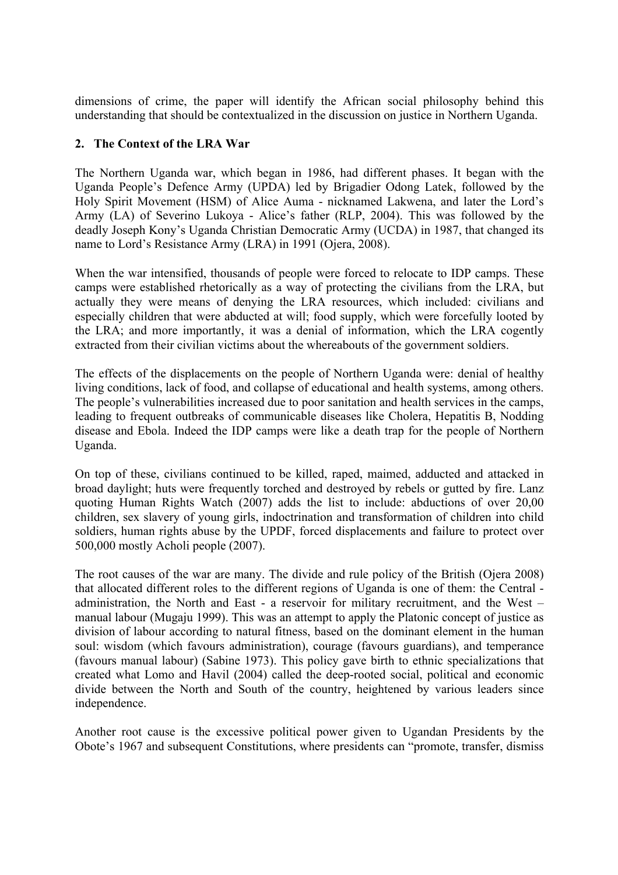dimensions of crime, the paper will identify the African social philosophy behind this understanding that should be contextualized in the discussion on justice in Northern Uganda.

# **2. The Context of the LRA War**

The Northern Uganda war, which began in 1986, had different phases. It began with the Uganda People's Defence Army (UPDA) led by Brigadier Odong Latek, followed by the Holy Spirit Movement (HSM) of Alice Auma - nicknamed Lakwena, and later the Lord's Army (LA) of Severino Lukoya - Alice's father (RLP, 2004). This was followed by the deadly Joseph Kony's Uganda Christian Democratic Army (UCDA) in 1987, that changed its name to Lord's Resistance Army (LRA) in 1991 (Ojera, 2008).

When the war intensified, thousands of people were forced to relocate to IDP camps. These camps were established rhetorically as a way of protecting the civilians from the LRA, but actually they were means of denying the LRA resources, which included: civilians and especially children that were abducted at will; food supply, which were forcefully looted by the LRA; and more importantly, it was a denial of information, which the LRA cogently extracted from their civilian victims about the whereabouts of the government soldiers.

The effects of the displacements on the people of Northern Uganda were: denial of healthy living conditions, lack of food, and collapse of educational and health systems, among others. The people's vulnerabilities increased due to poor sanitation and health services in the camps, leading to frequent outbreaks of communicable diseases like Cholera, Hepatitis B, Nodding disease and Ebola. Indeed the IDP camps were like a death trap for the people of Northern Uganda.

On top of these, civilians continued to be killed, raped, maimed, adducted and attacked in broad daylight; huts were frequently torched and destroyed by rebels or gutted by fire. Lanz quoting Human Rights Watch (2007) adds the list to include: abductions of over 20,00 children, sex slavery of young girls, indoctrination and transformation of children into child soldiers, human rights abuse by the UPDF, forced displacements and failure to protect over 500,000 mostly Acholi people (2007).

The root causes of the war are many. The divide and rule policy of the British (Ojera 2008) that allocated different roles to the different regions of Uganda is one of them: the Central administration, the North and East - a reservoir for military recruitment, and the West – manual labour (Mugaju 1999). This was an attempt to apply the Platonic concept of justice as division of labour according to natural fitness, based on the dominant element in the human soul: wisdom (which favours administration), courage (favours guardians), and temperance (favours manual labour) (Sabine 1973). This policy gave birth to ethnic specializations that created what Lomo and Havil (2004) called the deep-rooted social, political and economic divide between the North and South of the country, heightened by various leaders since independence.

Another root cause is the excessive political power given to Ugandan Presidents by the Obote's 1967 and subsequent Constitutions, where presidents can "promote, transfer, dismiss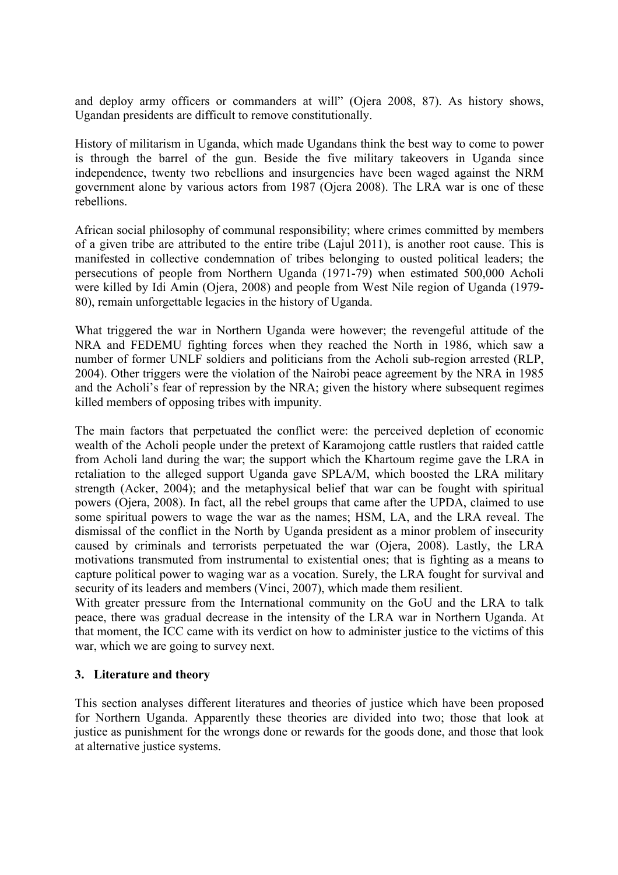and deploy army officers or commanders at will" (Ojera 2008, 87). As history shows, Ugandan presidents are difficult to remove constitutionally.

History of militarism in Uganda, which made Ugandans think the best way to come to power is through the barrel of the gun. Beside the five military takeovers in Uganda since independence, twenty two rebellions and insurgencies have been waged against the NRM government alone by various actors from 1987 (Ojera 2008). The LRA war is one of these rebellions.

African social philosophy of communal responsibility; where crimes committed by members of a given tribe are attributed to the entire tribe (Lajul 2011), is another root cause. This is manifested in collective condemnation of tribes belonging to ousted political leaders; the persecutions of people from Northern Uganda (1971-79) when estimated 500,000 Acholi were killed by Idi Amin (Ojera, 2008) and people from West Nile region of Uganda (1979- 80), remain unforgettable legacies in the history of Uganda.

What triggered the war in Northern Uganda were however; the revengeful attitude of the NRA and FEDEMU fighting forces when they reached the North in 1986, which saw a number of former UNLF soldiers and politicians from the Acholi sub-region arrested (RLP, 2004). Other triggers were the violation of the Nairobi peace agreement by the NRA in 1985 and the Acholi's fear of repression by the NRA; given the history where subsequent regimes killed members of opposing tribes with impunity.

The main factors that perpetuated the conflict were: the perceived depletion of economic wealth of the Acholi people under the pretext of Karamojong cattle rustlers that raided cattle from Acholi land during the war; the support which the Khartoum regime gave the LRA in retaliation to the alleged support Uganda gave SPLA/M, which boosted the LRA military strength (Acker, 2004); and the metaphysical belief that war can be fought with spiritual powers (Ojera, 2008). In fact, all the rebel groups that came after the UPDA, claimed to use some spiritual powers to wage the war as the names; HSM, LA, and the LRA reveal. The dismissal of the conflict in the North by Uganda president as a minor problem of insecurity caused by criminals and terrorists perpetuated the war (Ojera, 2008). Lastly, the LRA motivations transmuted from instrumental to existential ones; that is fighting as a means to capture political power to waging war as a vocation. Surely, the LRA fought for survival and security of its leaders and members (Vinci, 2007), which made them resilient.

With greater pressure from the International community on the GoU and the LRA to talk peace, there was gradual decrease in the intensity of the LRA war in Northern Uganda. At that moment, the ICC came with its verdict on how to administer justice to the victims of this war, which we are going to survey next.

## **3. Literature and theory**

This section analyses different literatures and theories of justice which have been proposed for Northern Uganda. Apparently these theories are divided into two; those that look at justice as punishment for the wrongs done or rewards for the goods done, and those that look at alternative justice systems.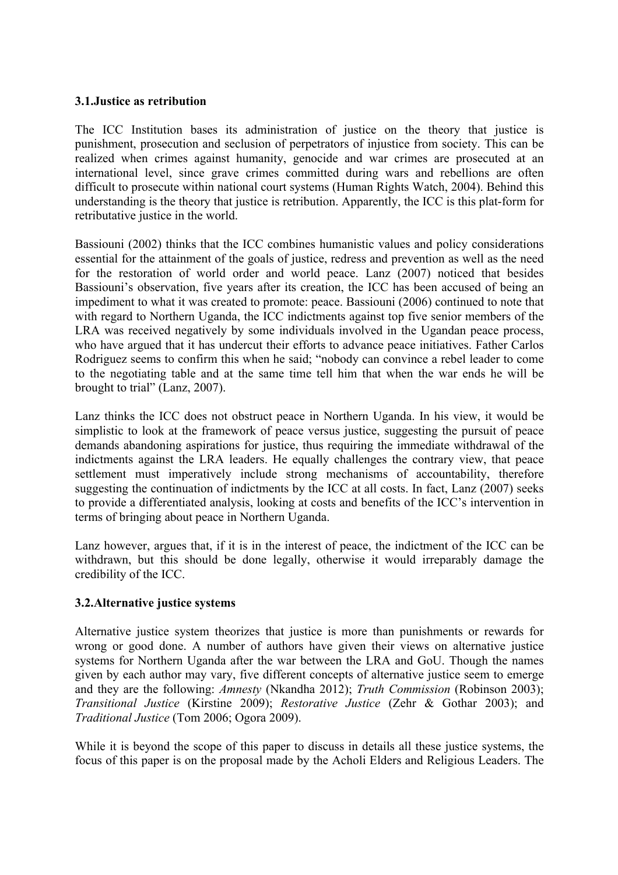## **3.1.Justice as retribution**

The ICC Institution bases its administration of justice on the theory that justice is punishment, prosecution and seclusion of perpetrators of injustice from society. This can be realized when crimes against humanity, genocide and war crimes are prosecuted at an international level, since grave crimes committed during wars and rebellions are often difficult to prosecute within national court systems (Human Rights Watch, 2004). Behind this understanding is the theory that justice is retribution. Apparently, the ICC is this plat-form for retributative justice in the world.

Bassiouni (2002) thinks that the ICC combines humanistic values and policy considerations essential for the attainment of the goals of justice, redress and prevention as well as the need for the restoration of world order and world peace. Lanz (2007) noticed that besides Bassiouni's observation, five years after its creation, the ICC has been accused of being an impediment to what it was created to promote: peace. Bassiouni (2006) continued to note that with regard to Northern Uganda, the ICC indictments against top five senior members of the LRA was received negatively by some individuals involved in the Ugandan peace process, who have argued that it has undercut their efforts to advance peace initiatives. Father Carlos Rodriguez seems to confirm this when he said; "nobody can convince a rebel leader to come to the negotiating table and at the same time tell him that when the war ends he will be brought to trial" (Lanz, 2007).

Lanz thinks the ICC does not obstruct peace in Northern Uganda. In his view, it would be simplistic to look at the framework of peace versus justice, suggesting the pursuit of peace demands abandoning aspirations for justice, thus requiring the immediate withdrawal of the indictments against the LRA leaders. He equally challenges the contrary view, that peace settlement must imperatively include strong mechanisms of accountability, therefore suggesting the continuation of indictments by the ICC at all costs. In fact, Lanz (2007) seeks to provide a differentiated analysis, looking at costs and benefits of the ICC's intervention in terms of bringing about peace in Northern Uganda.

Lanz however, argues that, if it is in the interest of peace, the indictment of the ICC can be withdrawn, but this should be done legally, otherwise it would irreparably damage the credibility of the ICC.

# **3.2.Alternative justice systems**

Alternative justice system theorizes that justice is more than punishments or rewards for wrong or good done. A number of authors have given their views on alternative justice systems for Northern Uganda after the war between the LRA and GoU. Though the names given by each author may vary, five different concepts of alternative justice seem to emerge and they are the following: *Amnesty* (Nkandha 2012); *Truth Commission* (Robinson 2003); *Transitional Justice* (Kirstine 2009); *Restorative Justice* (Zehr & Gothar 2003); and *Traditional Justice* (Tom 2006; Ogora 2009).

While it is beyond the scope of this paper to discuss in details all these justice systems, the focus of this paper is on the proposal made by the Acholi Elders and Religious Leaders. The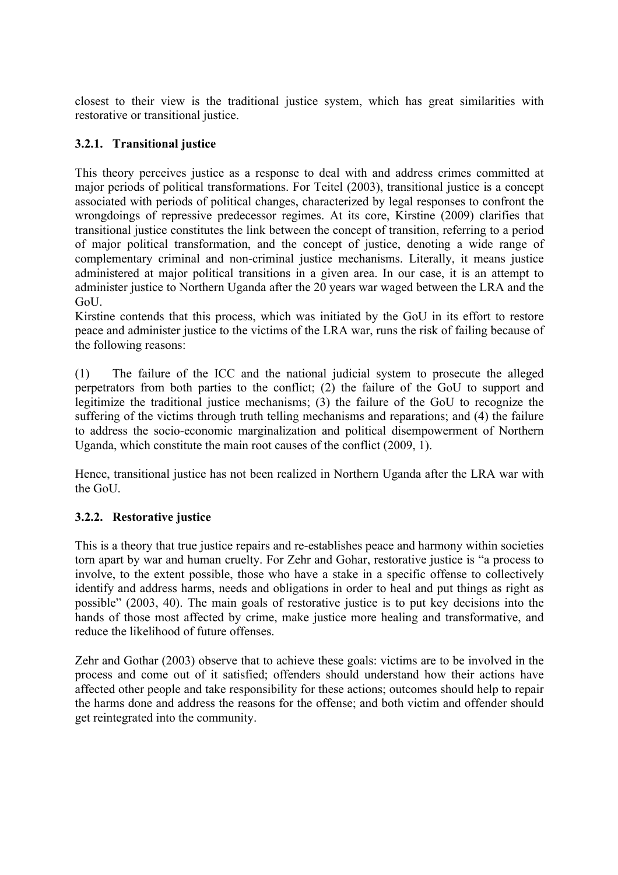closest to their view is the traditional justice system, which has great similarities with restorative or transitional justice.

# **3.2.1. Transitional justice**

This theory perceives justice as a response to deal with and address crimes committed at major periods of political transformations. For Teitel (2003), transitional justice is a concept associated with periods of political changes, characterized by legal responses to confront the wrongdoings of repressive predecessor regimes. At its core, Kirstine (2009) clarifies that transitional justice constitutes the link between the concept of transition, referring to a period of major political transformation, and the concept of justice, denoting a wide range of complementary criminal and non-criminal justice mechanisms. Literally, it means justice administered at major political transitions in a given area. In our case, it is an attempt to administer justice to Northern Uganda after the 20 years war waged between the LRA and the GoU.

Kirstine contends that this process, which was initiated by the GoU in its effort to restore peace and administer justice to the victims of the LRA war, runs the risk of failing because of the following reasons:

(1) The failure of the ICC and the national judicial system to prosecute the alleged perpetrators from both parties to the conflict; (2) the failure of the GoU to support and legitimize the traditional justice mechanisms; (3) the failure of the GoU to recognize the suffering of the victims through truth telling mechanisms and reparations; and (4) the failure to address the socio-economic marginalization and political disempowerment of Northern Uganda, which constitute the main root causes of the conflict (2009, 1).

Hence, transitional justice has not been realized in Northern Uganda after the LRA war with the GoU.

# **3.2.2. Restorative justice**

This is a theory that true justice repairs and re-establishes peace and harmony within societies torn apart by war and human cruelty. For Zehr and Gohar, restorative justice is "a process to involve, to the extent possible, those who have a stake in a specific offense to collectively identify and address harms, needs and obligations in order to heal and put things as right as possible" (2003, 40). The main goals of restorative justice is to put key decisions into the hands of those most affected by crime, make justice more healing and transformative, and reduce the likelihood of future offenses.

Zehr and Gothar (2003) observe that to achieve these goals: victims are to be involved in the process and come out of it satisfied; offenders should understand how their actions have affected other people and take responsibility for these actions; outcomes should help to repair the harms done and address the reasons for the offense; and both victim and offender should get reintegrated into the community.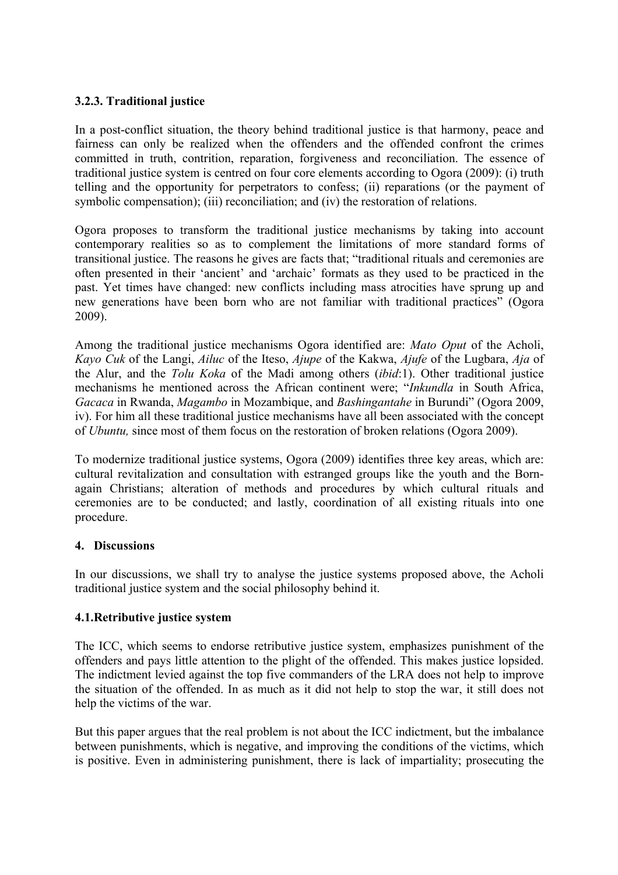# **3.2.3. Traditional justice**

In a post-conflict situation, the theory behind traditional justice is that harmony, peace and fairness can only be realized when the offenders and the offended confront the crimes committed in truth, contrition, reparation, forgiveness and reconciliation. The essence of traditional justice system is centred on four core elements according to Ogora (2009): (i) truth telling and the opportunity for perpetrators to confess; (ii) reparations (or the payment of symbolic compensation); (iii) reconciliation; and (iv) the restoration of relations.

Ogora proposes to transform the traditional justice mechanisms by taking into account contemporary realities so as to complement the limitations of more standard forms of transitional justice. The reasons he gives are facts that; "traditional rituals and ceremonies are often presented in their 'ancient' and 'archaic' formats as they used to be practiced in the past. Yet times have changed: new conflicts including mass atrocities have sprung up and new generations have been born who are not familiar with traditional practices" (Ogora 2009).

Among the traditional justice mechanisms Ogora identified are: *Mato Oput* of the Acholi, *Kayo Cuk* of the Langi, *Ailuc* of the Iteso, *Ajupe* of the Kakwa, *Ajufe* of the Lugbara, *Aja* of the Alur, and the *Tolu Koka* of the Madi among others (*ibid*:1). Other traditional justice mechanisms he mentioned across the African continent were; "*Inkundla* in South Africa, *Gacaca* in Rwanda, *Magambo* in Mozambique, and *Bashingantahe* in Burundi" (Ogora 2009, iv). For him all these traditional justice mechanisms have all been associated with the concept of *Ubuntu,* since most of them focus on the restoration of broken relations (Ogora 2009).

To modernize traditional justice systems, Ogora (2009) identifies three key areas, which are: cultural revitalization and consultation with estranged groups like the youth and the Bornagain Christians; alteration of methods and procedures by which cultural rituals and ceremonies are to be conducted; and lastly, coordination of all existing rituals into one procedure.

# **4. Discussions**

In our discussions, we shall try to analyse the justice systems proposed above, the Acholi traditional justice system and the social philosophy behind it.

## **4.1.Retributive justice system**

The ICC, which seems to endorse retributive justice system, emphasizes punishment of the offenders and pays little attention to the plight of the offended. This makes justice lopsided. The indictment levied against the top five commanders of the LRA does not help to improve the situation of the offended. In as much as it did not help to stop the war, it still does not help the victims of the war.

But this paper argues that the real problem is not about the ICC indictment, but the imbalance between punishments, which is negative, and improving the conditions of the victims, which is positive. Even in administering punishment, there is lack of impartiality; prosecuting the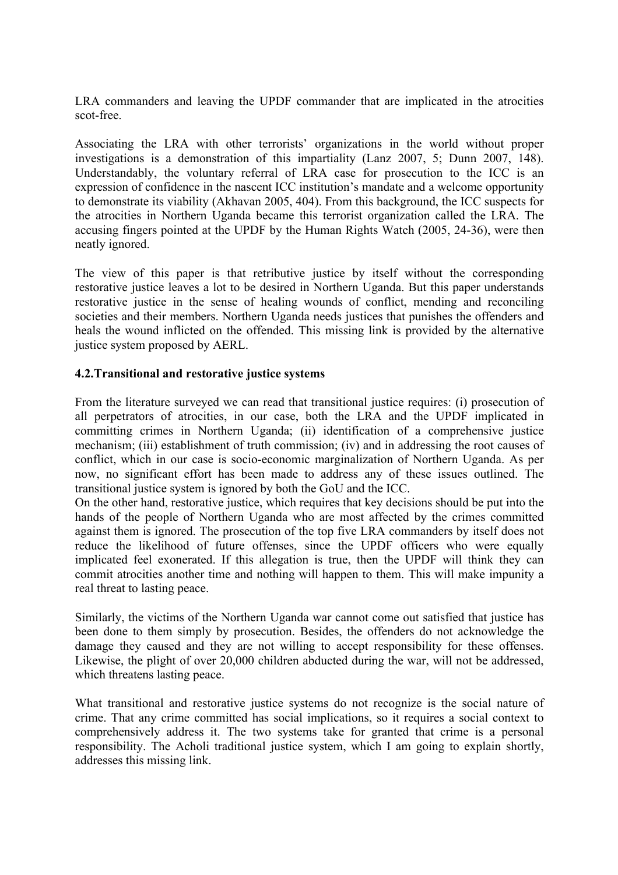LRA commanders and leaving the UPDF commander that are implicated in the atrocities scot-free.

Associating the LRA with other terrorists' organizations in the world without proper investigations is a demonstration of this impartiality (Lanz 2007, 5; Dunn 2007, 148). Understandably, the voluntary referral of LRA case for prosecution to the ICC is an expression of confidence in the nascent ICC institution's mandate and a welcome opportunity to demonstrate its viability (Akhavan 2005, 404). From this background, the ICC suspects for the atrocities in Northern Uganda became this terrorist organization called the LRA. The accusing fingers pointed at the UPDF by the Human Rights Watch (2005, 24-36), were then neatly ignored.

The view of this paper is that retributive justice by itself without the corresponding restorative justice leaves a lot to be desired in Northern Uganda. But this paper understands restorative justice in the sense of healing wounds of conflict, mending and reconciling societies and their members. Northern Uganda needs justices that punishes the offenders and heals the wound inflicted on the offended. This missing link is provided by the alternative justice system proposed by AERL.

# **4.2.Transitional and restorative justice systems**

From the literature surveyed we can read that transitional justice requires: (i) prosecution of all perpetrators of atrocities, in our case, both the LRA and the UPDF implicated in committing crimes in Northern Uganda; (ii) identification of a comprehensive justice mechanism; (iii) establishment of truth commission; (iv) and in addressing the root causes of conflict, which in our case is socio-economic marginalization of Northern Uganda. As per now, no significant effort has been made to address any of these issues outlined. The transitional justice system is ignored by both the GoU and the ICC.

On the other hand, restorative justice, which requires that key decisions should be put into the hands of the people of Northern Uganda who are most affected by the crimes committed against them is ignored. The prosecution of the top five LRA commanders by itself does not reduce the likelihood of future offenses, since the UPDF officers who were equally implicated feel exonerated. If this allegation is true, then the UPDF will think they can commit atrocities another time and nothing will happen to them. This will make impunity a real threat to lasting peace.

Similarly, the victims of the Northern Uganda war cannot come out satisfied that justice has been done to them simply by prosecution. Besides, the offenders do not acknowledge the damage they caused and they are not willing to accept responsibility for these offenses. Likewise, the plight of over 20,000 children abducted during the war, will not be addressed, which threatens lasting peace.

What transitional and restorative justice systems do not recognize is the social nature of crime. That any crime committed has social implications, so it requires a social context to comprehensively address it. The two systems take for granted that crime is a personal responsibility. The Acholi traditional justice system, which I am going to explain shortly, addresses this missing link.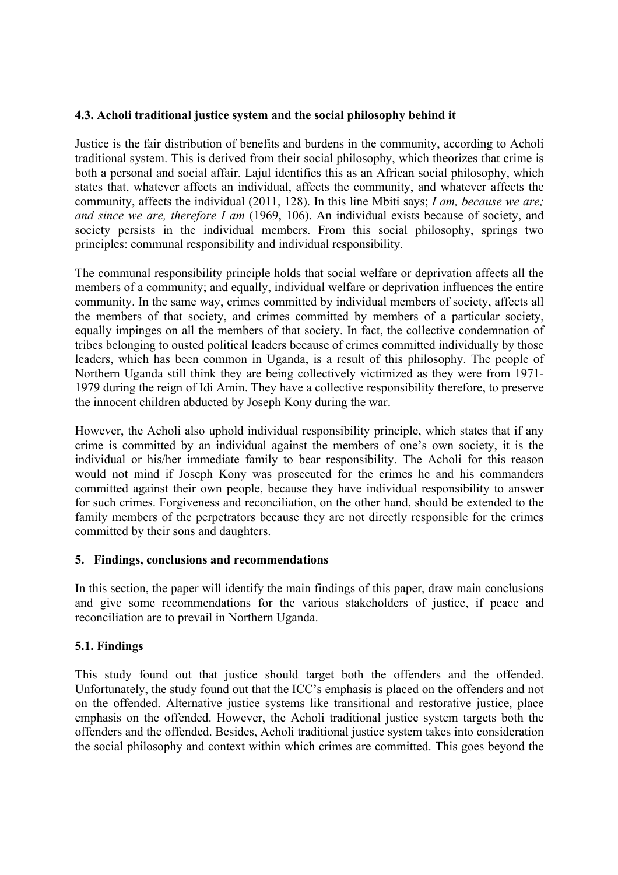# **4.3. Acholi traditional justice system and the social philosophy behind it**

Justice is the fair distribution of benefits and burdens in the community, according to Acholi traditional system. This is derived from their social philosophy, which theorizes that crime is both a personal and social affair. Lajul identifies this as an African social philosophy, which states that, whatever affects an individual, affects the community, and whatever affects the community, affects the individual (2011, 128). In this line Mbiti says; *I am, because we are; and since we are, therefore I am* (1969, 106). An individual exists because of society, and society persists in the individual members. From this social philosophy, springs two principles: communal responsibility and individual responsibility.

The communal responsibility principle holds that social welfare or deprivation affects all the members of a community; and equally, individual welfare or deprivation influences the entire community. In the same way, crimes committed by individual members of society, affects all the members of that society, and crimes committed by members of a particular society, equally impinges on all the members of that society. In fact, the collective condemnation of tribes belonging to ousted political leaders because of crimes committed individually by those leaders, which has been common in Uganda, is a result of this philosophy. The people of Northern Uganda still think they are being collectively victimized as they were from 1971- 1979 during the reign of Idi Amin. They have a collective responsibility therefore, to preserve the innocent children abducted by Joseph Kony during the war.

However, the Acholi also uphold individual responsibility principle, which states that if any crime is committed by an individual against the members of one's own society, it is the individual or his/her immediate family to bear responsibility. The Acholi for this reason would not mind if Joseph Kony was prosecuted for the crimes he and his commanders committed against their own people, because they have individual responsibility to answer for such crimes. Forgiveness and reconciliation, on the other hand, should be extended to the family members of the perpetrators because they are not directly responsible for the crimes committed by their sons and daughters.

# **5. Findings, conclusions and recommendations**

In this section, the paper will identify the main findings of this paper, draw main conclusions and give some recommendations for the various stakeholders of justice, if peace and reconciliation are to prevail in Northern Uganda.

# **5.1. Findings**

This study found out that justice should target both the offenders and the offended. Unfortunately, the study found out that the ICC's emphasis is placed on the offenders and not on the offended. Alternative justice systems like transitional and restorative justice, place emphasis on the offended. However, the Acholi traditional justice system targets both the offenders and the offended. Besides, Acholi traditional justice system takes into consideration the social philosophy and context within which crimes are committed. This goes beyond the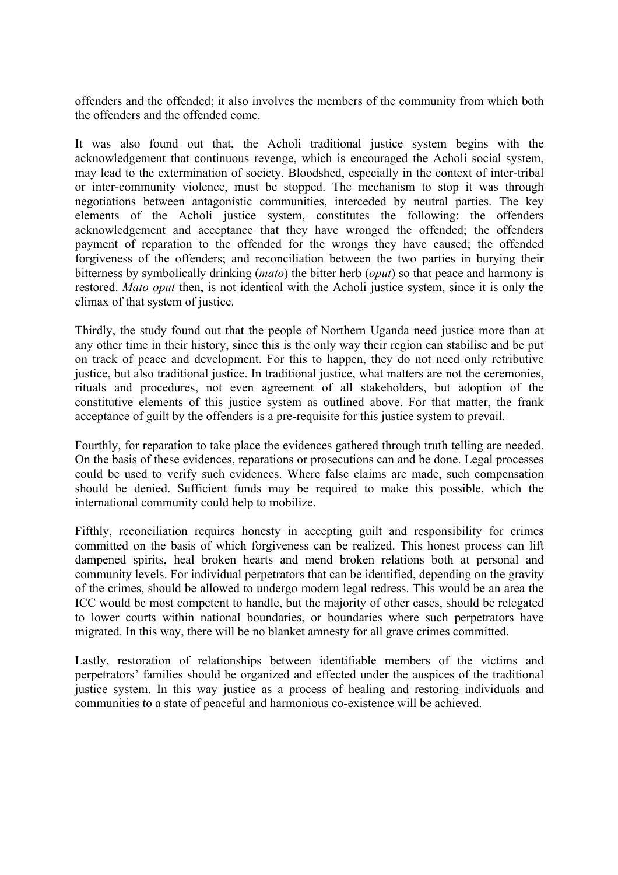offenders and the offended; it also involves the members of the community from which both the offenders and the offended come.

It was also found out that, the Acholi traditional justice system begins with the acknowledgement that continuous revenge, which is encouraged the Acholi social system, may lead to the extermination of society. Bloodshed, especially in the context of inter-tribal or inter-community violence, must be stopped. The mechanism to stop it was through negotiations between antagonistic communities, interceded by neutral parties. The key elements of the Acholi justice system, constitutes the following: the offenders acknowledgement and acceptance that they have wronged the offended; the offenders payment of reparation to the offended for the wrongs they have caused; the offended forgiveness of the offenders; and reconciliation between the two parties in burying their bitterness by symbolically drinking (*mato*) the bitter herb (*oput*) so that peace and harmony is restored. *Mato oput* then, is not identical with the Acholi justice system, since it is only the climax of that system of justice.

Thirdly, the study found out that the people of Northern Uganda need justice more than at any other time in their history, since this is the only way their region can stabilise and be put on track of peace and development. For this to happen, they do not need only retributive justice, but also traditional justice. In traditional justice, what matters are not the ceremonies, rituals and procedures, not even agreement of all stakeholders, but adoption of the constitutive elements of this justice system as outlined above. For that matter, the frank acceptance of guilt by the offenders is a pre-requisite for this justice system to prevail.

Fourthly, for reparation to take place the evidences gathered through truth telling are needed. On the basis of these evidences, reparations or prosecutions can and be done. Legal processes could be used to verify such evidences. Where false claims are made, such compensation should be denied. Sufficient funds may be required to make this possible, which the international community could help to mobilize.

Fifthly, reconciliation requires honesty in accepting guilt and responsibility for crimes committed on the basis of which forgiveness can be realized. This honest process can lift dampened spirits, heal broken hearts and mend broken relations both at personal and community levels. For individual perpetrators that can be identified, depending on the gravity of the crimes, should be allowed to undergo modern legal redress. This would be an area the ICC would be most competent to handle, but the majority of other cases, should be relegated to lower courts within national boundaries, or boundaries where such perpetrators have migrated. In this way, there will be no blanket amnesty for all grave crimes committed.

Lastly, restoration of relationships between identifiable members of the victims and perpetrators' families should be organized and effected under the auspices of the traditional justice system. In this way justice as a process of healing and restoring individuals and communities to a state of peaceful and harmonious co-existence will be achieved.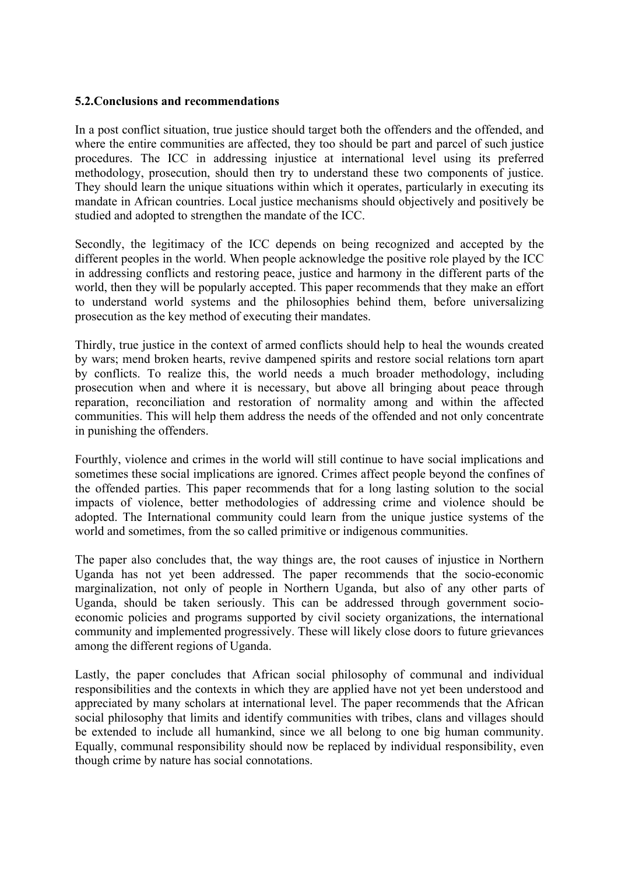## **5.2.Conclusions and recommendations**

In a post conflict situation, true justice should target both the offenders and the offended, and where the entire communities are affected, they too should be part and parcel of such justice procedures. The ICC in addressing injustice at international level using its preferred methodology, prosecution, should then try to understand these two components of justice. They should learn the unique situations within which it operates, particularly in executing its mandate in African countries. Local justice mechanisms should objectively and positively be studied and adopted to strengthen the mandate of the ICC.

Secondly, the legitimacy of the ICC depends on being recognized and accepted by the different peoples in the world. When people acknowledge the positive role played by the ICC in addressing conflicts and restoring peace, justice and harmony in the different parts of the world, then they will be popularly accepted. This paper recommends that they make an effort to understand world systems and the philosophies behind them, before universalizing prosecution as the key method of executing their mandates.

Thirdly, true justice in the context of armed conflicts should help to heal the wounds created by wars; mend broken hearts, revive dampened spirits and restore social relations torn apart by conflicts. To realize this, the world needs a much broader methodology, including prosecution when and where it is necessary, but above all bringing about peace through reparation, reconciliation and restoration of normality among and within the affected communities. This will help them address the needs of the offended and not only concentrate in punishing the offenders.

Fourthly, violence and crimes in the world will still continue to have social implications and sometimes these social implications are ignored. Crimes affect people beyond the confines of the offended parties. This paper recommends that for a long lasting solution to the social impacts of violence, better methodologies of addressing crime and violence should be adopted. The International community could learn from the unique justice systems of the world and sometimes, from the so called primitive or indigenous communities.

The paper also concludes that, the way things are, the root causes of injustice in Northern Uganda has not yet been addressed. The paper recommends that the socio-economic marginalization, not only of people in Northern Uganda, but also of any other parts of Uganda, should be taken seriously. This can be addressed through government socioeconomic policies and programs supported by civil society organizations, the international community and implemented progressively. These will likely close doors to future grievances among the different regions of Uganda.

Lastly, the paper concludes that African social philosophy of communal and individual responsibilities and the contexts in which they are applied have not yet been understood and appreciated by many scholars at international level. The paper recommends that the African social philosophy that limits and identify communities with tribes, clans and villages should be extended to include all humankind, since we all belong to one big human community. Equally, communal responsibility should now be replaced by individual responsibility, even though crime by nature has social connotations.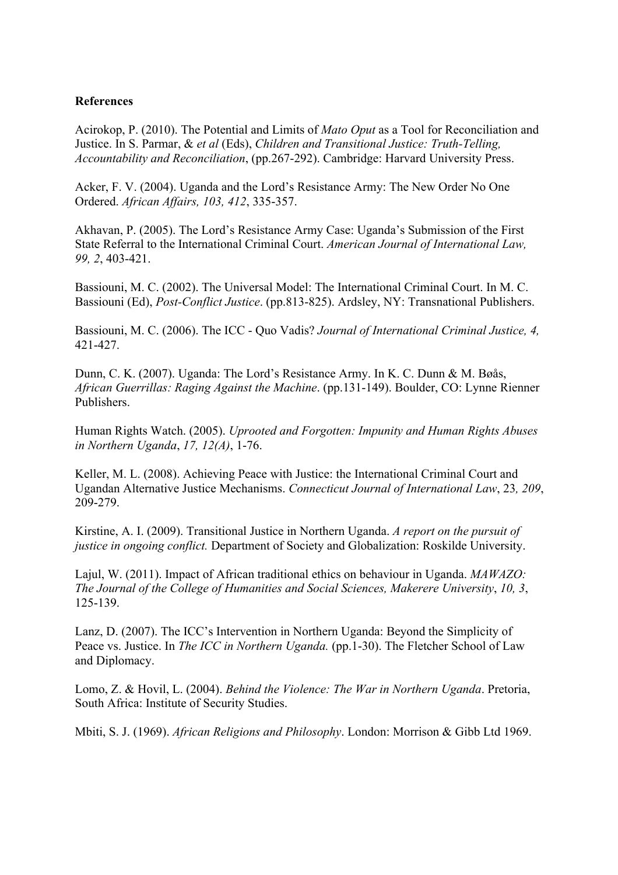## **References**

Acirokop, P. (2010). The Potential and Limits of *Mato Oput* as a Tool for Reconciliation and Justice. In S. Parmar, & *et al* (Eds), *Children and Transitional Justice: Truth-Telling, Accountability and Reconciliation*, (pp.267-292). Cambridge: Harvard University Press.

Acker, F. V. (2004). Uganda and the Lord's Resistance Army: The New Order No One Ordered. *African Affairs, 103, 412*, 335-357.

Akhavan, P. (2005). The Lord's Resistance Army Case: Uganda's Submission of the First State Referral to the International Criminal Court. *American Journal of International Law, 99, 2*, 403-421.

Bassiouni, M. C. (2002). The Universal Model: The International Criminal Court. In M. C. Bassiouni (Ed), *Post-Conflict Justice*. (pp.813-825). Ardsley, NY: Transnational Publishers.

Bassiouni, M. C. (2006). The ICC - Quo Vadis? *Journal of International Criminal Justice, 4,* 421-427.

Dunn, C. K. (2007). Uganda: The Lord's Resistance Army. In K. C. Dunn & M. Bøås, *African Guerrillas: Raging Against the Machine*. (pp.131-149). Boulder, CO: Lynne Rienner Publishers.

Human Rights Watch. (2005). *Uprooted and Forgotten: Impunity and Human Rights Abuses in Northern Uganda*, *17, 12(A)*, 1-76.

Keller, M. L. (2008). Achieving Peace with Justice: the International Criminal Court and Ugandan Alternative Justice Mechanisms. *Connecticut Journal of International Law*, 23*, 209*, 209-279.

Kirstine, A. I. (2009). Transitional Justice in Northern Uganda. *A report on the pursuit of justice in ongoing conflict.* Department of Society and Globalization: Roskilde University.

Lajul, W. (2011). Impact of African traditional ethics on behaviour in Uganda. *MAWAZO: The Journal of the College of Humanities and Social Sciences, Makerere University*, *10, 3*, 125-139.

Lanz, D. (2007). The ICC's Intervention in Northern Uganda: Beyond the Simplicity of Peace vs. Justice. In *The ICC in Northern Uganda*. (pp.1-30). The Fletcher School of Law and Diplomacy.

Lomo, Z. & Hovil, L. (2004). *Behind the Violence: The War in Northern Uganda*. Pretoria, South Africa: Institute of Security Studies.

Mbiti, S. J. (1969). *African Religions and Philosophy*. London: Morrison & Gibb Ltd 1969.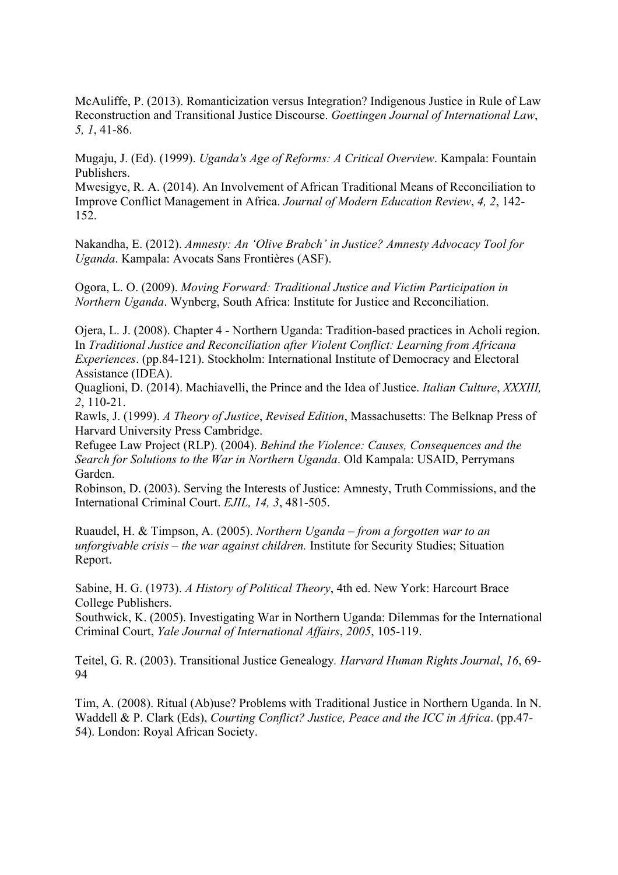McAuliffe, P. (2013). Romanticization versus Integration? Indigenous Justice in Rule of Law Reconstruction and Transitional Justice Discourse. *Goettingen Journal of International Law*, *5, 1*, 41-86.

Mugaju, J. (Ed). (1999). *Uganda's Age of Reforms: A Critical Overview*. Kampala: Fountain Publishers.

Mwesigye, R. A. (2014). An Involvement of African Traditional Means of Reconciliation to Improve Conflict Management in Africa. *Journal of Modern Education Review*, *4, 2*, 142- 152.

Nakandha, E. (2012). *Amnesty: An 'Olive Brabch' in Justice? Amnesty Advocacy Tool for Uganda*. Kampala: Avocats Sans Frontières (ASF).

Ogora, L. O. (2009). *Moving Forward: Traditional Justice and Victim Participation in Northern Uganda*. Wynberg, South Africa: Institute for Justice and Reconciliation.

Ojera, L. J. (2008). Chapter 4 - Northern Uganda: Tradition-based practices in Acholi region. In *Traditional Justice and Reconciliation after Violent Conflict: Learning from Africana Experiences*. (pp.84-121). Stockholm: International Institute of Democracy and Electoral Assistance (IDEA).

Quaglioni, D. (2014). Machiavelli, the Prince and the Idea of Justice. *Italian Culture*, *XXXIII, 2*, 110-21.

Rawls, J. (1999). *A Theory of Justice*, *Revised Edition*, Massachusetts: The Belknap Press of Harvard University Press Cambridge.

Refugee Law Project (RLP). (2004). *Behind the Violence: Causes, Consequences and the Search for Solutions to the War in Northern Uganda*. Old Kampala: USAID, Perrymans Garden.

Robinson, D. (2003). Serving the Interests of Justice: Amnesty, Truth Commissions, and the International Criminal Court. *EJIL, 14, 3*, 481-505.

Ruaudel, H. & Timpson, A. (2005). *Northern Uganda – from a forgotten war to an unforgivable crisis – the war against children.* Institute for Security Studies; Situation Report.

Sabine, H. G. (1973). *A History of Political Theory*, 4th ed. New York: Harcourt Brace College Publishers.

Southwick, K. (2005). Investigating War in Northern Uganda: Dilemmas for the International Criminal Court, *Yale Journal of International Affairs*, *2005*, 105-119.

Teitel, G. R. (2003). Transitional Justice Genealogy*. Harvard Human Rights Journal*, *16*, 69- 94

Tim, A. (2008). Ritual (Ab)use? Problems with Traditional Justice in Northern Uganda. In N. Waddell & P. Clark (Eds), *Courting Conflict? Justice, Peace and the ICC in Africa*. (pp.47- 54). London: Royal African Society.